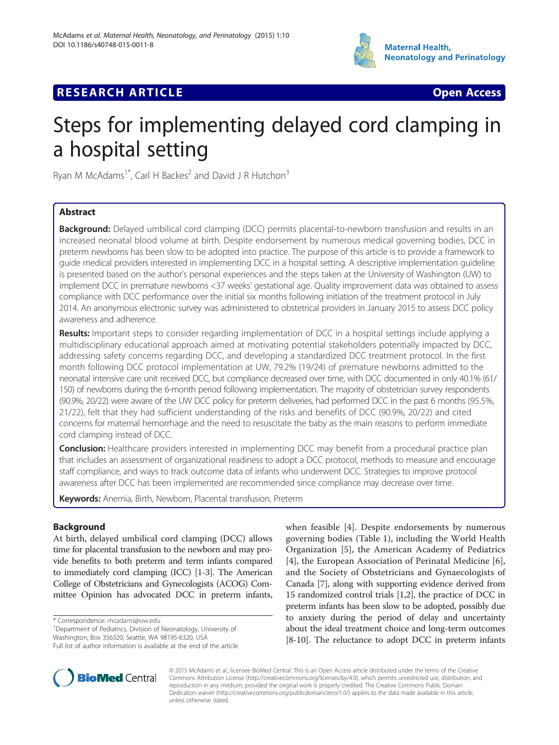

# **RESEARCH ARTICLE Example 2014 12:30 The Contract of Contract ACCESS**



# Steps for implementing delayed cord clamping in a hospital setting

Ryan M McAdams<sup>1\*</sup>, Carl H Backes<sup>2</sup> and David J R Hutchon<sup>3</sup>

# Abstract

Background: Delayed umbilical cord clamping (DCC) permits placental-to-newborn transfusion and results in an increased neonatal blood volume at birth. Despite endorsement by numerous medical governing bodies, DCC in preterm newborns has been slow to be adopted into practice. The purpose of this article is to provide a framework to guide medical providers interested in implementing DCC in a hospital setting. A descriptive implementation guideline is presented based on the author's personal experiences and the steps taken at the University of Washington (UW) to implement DCC in premature newborns <37 weeks' gestational age. Quality improvement data was obtained to assess compliance with DCC performance over the initial six months following initiation of the treatment protocol in July 2014. An anonymous electronic survey was administered to obstetrical providers in January 2015 to assess DCC policy awareness and adherence.

Results: Important steps to consider regarding implementation of DCC in a hospital settings include applying a multidisciplinary educational approach aimed at motivating potential stakeholders potentially impacted by DCC, addressing safety concerns regarding DCC, and developing a standardized DCC treatment protocol. In the first month following DCC protocol implementation at UW, 79.2% (19/24) of premature newborns admitted to the neonatal intensive care unit received DCC, but compliance decreased over time, with DCC documented in only 40.1% (61/ 150) of newborns during the 6-month period following implementation. The majority of obstetrician survey respondents (90.9%, 20/22) were aware of the UW DCC policy for preterm deliveries, had performed DCC in the past 6 months (95.5%, 21/22), felt that they had sufficient understanding of the risks and benefits of DCC (90.9%, 20/22) and cited concerns for maternal hemorrhage and the need to resuscitate the baby as the main reasons to perform immediate cord clamping instead of DCC.

**Conclusion:** Healthcare providers interested in implementing DCC may benefit from a procedural practice plan that includes an assessment of organizational readiness to adopt a DCC protocol, methods to measure and encourage staff compliance, and ways to track outcome data of infants who underwent DCC. Strategies to improve protocol awareness after DCC has been implemented are recommended since compliance may decrease over time.

Keywords: Anemia, Birth, Newborn, Placental transfusion, Preterm

# Background

At birth, delayed umbilical cord clamping (DCC) allows time for placental transfusion to the newborn and may provide benefits to both preterm and term infants compared to immediately cord clamping (ICC) [[1](#page-7-0)-[3\]](#page-7-0). The American College of Obstetricians and Gynecologists (ACOG) Committee Opinion has advocated DCC in preterm infants,

\* Correspondence: [mcadams@uw.edu](mailto:mcadams@uw.edu) <sup>1</sup>

when feasible [[4\]](#page-7-0). Despite endorsements by numerous governing bodies (Table [1](#page-1-0)), including the World Health Organization [[5\]](#page-7-0), the American Academy of Pediatrics [[4\]](#page-7-0), the European Association of Perinatal Medicine [\[6](#page-7-0)], and the Society of Obstetricians and Gynaecologists of Canada [\[7](#page-7-0)], along with supporting evidence derived from 15 randomized control trials [\[1,2\]](#page-7-0), the practice of DCC in preterm infants has been slow to be adopted, possibly due to anxiety during the period of delay and uncertainty about the ideal treatment choice and long-term outcomes [[8-10\]](#page-7-0). The reluctance to adopt DCC in preterm infants



© 2015 McAdams et al.; licensee BioMed Central. This is an Open Access article distributed under the terms of the Creative Commons Attribution License [\(http://creativecommons.org/licenses/by/4.0\)](http://creativecommons.org/licenses/by/4.0), which permits unrestricted use, distribution, and reproduction in any medium, provided the original work is properly credited. The Creative Commons Public Domain Dedication waiver [\(http://creativecommons.org/publicdomain/zero/1.0/](http://creativecommons.org/publicdomain/zero/1.0/)) applies to the data made available in this article, unless otherwise stated.

Department of Pediatrics, Division of Neonatology, University of Washington, Box 356320, Seattle, WA 98195-6320, USA

Full list of author information is available at the end of the article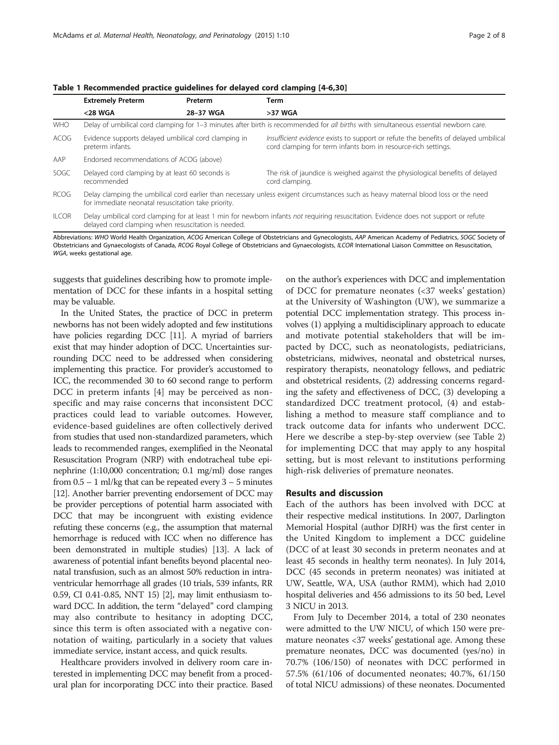|              | <b>Extremely Preterm</b>                                                                                                                                                                   | Preterm   | Term                                                                                                                                                  |  |  |
|--------------|--------------------------------------------------------------------------------------------------------------------------------------------------------------------------------------------|-----------|-------------------------------------------------------------------------------------------------------------------------------------------------------|--|--|
|              | <28 WGA                                                                                                                                                                                    | 28-37 WGA | >37 WGA                                                                                                                                               |  |  |
| <b>WHO</b>   | Delay of umbilical cord clamping for 1–3 minutes after birth is recommended for all births with simultaneous essential newborn care.                                                       |           |                                                                                                                                                       |  |  |
| ACOG         | Evidence supports delayed umbilical cord clamping in<br>preterm infants.                                                                                                                   |           | Insufficient evidence exists to support or refute the benefits of delayed umbilical<br>cord clamping for term infants born in resource-rich settings. |  |  |
| AAP          | Endorsed recommendations of ACOG (above)                                                                                                                                                   |           |                                                                                                                                                       |  |  |
| SOGC         | Delayed cord clamping by at least 60 seconds is<br>recommended                                                                                                                             |           | The risk of jaundice is weighed against the physiological benefits of delayed<br>cord clamping.                                                       |  |  |
| <b>RCOG</b>  | Delay clamping the umbilical cord earlier than necessary unless exigent circumstances such as heavy maternal blood loss or the need<br>for immediate neonatal resuscitation take priority. |           |                                                                                                                                                       |  |  |
| <b>ILCOR</b> |                                                                                                                                                                                            |           | Delay umbilical cord clamping for at least 1 min for newborn infants not requiring resuscitation. Evidence does not support or refute                 |  |  |

<span id="page-1-0"></span>Table 1 Recommended practice guidelines for delayed cord clamping [\[4-6,30](#page-7-0)]

delayed cord clamping when resuscitation is needed.

Abbreviations: WHO World Health Organization, ACOG American College of Obstetricians and Gynecologists, AAP American Academy of Pediatrics, SOGC Society of Obstetricians and Gynaecologists of Canada, RCOG Royal College of Obstetricians and Gynaecologists, ILCOR International Liaison Committee on Resuscitation, WGA, weeks gestational age.

suggests that guidelines describing how to promote implementation of DCC for these infants in a hospital setting may be valuable.

In the United States, the practice of DCC in preterm newborns has not been widely adopted and few institutions have policies regarding DCC [\[11\]](#page-7-0). A myriad of barriers exist that may hinder adoption of DCC. Uncertainties surrounding DCC need to be addressed when considering implementing this practice. For provider's accustomed to ICC, the recommended 30 to 60 second range to perform DCC in preterm infants [[4](#page-7-0)] may be perceived as nonspecific and may raise concerns that inconsistent DCC practices could lead to variable outcomes. However, evidence-based guidelines are often collectively derived from studies that used non-standardized parameters, which leads to recommended ranges, exemplified in the Neonatal Resuscitation Program (NRP) with endotracheal tube epinephrine (1:10,000 concentration; 0.1 mg/ml) dose ranges from  $0.5 - 1$  ml/kg that can be repeated every  $3 - 5$  minutes [[12](#page-7-0)]. Another barrier preventing endorsement of DCC may be provider perceptions of potential harm associated with DCC that may be incongruent with existing evidence refuting these concerns (e.g., the assumption that maternal hemorrhage is reduced with ICC when no difference has been demonstrated in multiple studies) [[13\]](#page-7-0). A lack of awareness of potential infant benefits beyond placental neonatal transfusion, such as an almost 50% reduction in intraventricular hemorrhage all grades (10 trials, 539 infants, RR 0.59, CI 0.41-0.85, NNT 15) [\[2\]](#page-7-0), may limit enthusiasm toward DCC. In addition, the term "delayed" cord clamping may also contribute to hesitancy in adopting DCC, since this term is often associated with a negative connotation of waiting, particularly in a society that values immediate service, instant access, and quick results.

Healthcare providers involved in delivery room care interested in implementing DCC may benefit from a procedural plan for incorporating DCC into their practice. Based on the author's experiences with DCC and implementation of DCC for premature neonates (<37 weeks' gestation) at the University of Washington (UW), we summarize a potential DCC implementation strategy. This process involves (1) applying a multidisciplinary approach to educate and motivate potential stakeholders that will be impacted by DCC, such as neonatologists, pediatricians, obstetricians, midwives, neonatal and obstetrical nurses, respiratory therapists, neonatology fellows, and pediatric and obstetrical residents, (2) addressing concerns regarding the safety and effectiveness of DCC, (3) developing a standardized DCC treatment protocol, (4) and establishing a method to measure staff compliance and to track outcome data for infants who underwent DCC. Here we describe a step-by-step overview (see Table [2](#page-2-0)) for implementing DCC that may apply to any hospital setting, but is most relevant to institutions performing high-risk deliveries of premature neonates.

# Results and discussion

Each of the authors has been involved with DCC at their respective medical institutions. In 2007, Darlington Memorial Hospital (author DJRH) was the first center in the United Kingdom to implement a DCC guideline (DCC of at least 30 seconds in preterm neonates and at least 45 seconds in healthy term neonates). In July 2014, DCC (45 seconds in preterm neonates) was initiated at UW, Seattle, WA, USA (author RMM), which had 2,010 hospital deliveries and 456 admissions to its 50 bed, Level 3 NICU in 2013.

From July to December 2014, a total of 230 neonates were admitted to the UW NICU, of which 150 were premature neonates <37 weeks' gestational age. Among these premature neonates, DCC was documented (yes/no) in 70.7% (106/150) of neonates with DCC performed in 57.5% (61/106 of documented neonates; 40.7%, 61/150 of total NICU admissions) of these neonates. Documented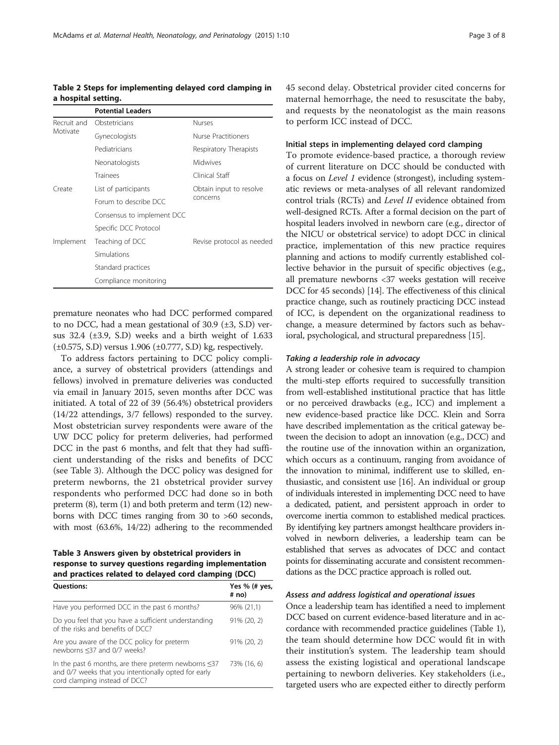<span id="page-2-0"></span>Table 2 Steps for implementing delayed cord clamping in a hospital setting.

|             | <b>Potential Leaders</b>   |                           |  |
|-------------|----------------------------|---------------------------|--|
| Recruit and | Obstetricians              | <b>Nurses</b>             |  |
| Motivate    | Gynecologists              | Nurse Practitioners       |  |
|             | Pediatricians              | Respiratory Therapists    |  |
|             | Neonatologists             | Midwives                  |  |
|             | <b>Trainees</b>            | Clinical Staff            |  |
| Create      | List of participants       | Obtain input to resolve   |  |
|             | Forum to describe DCC      | concerns                  |  |
|             | Consensus to implement DCC |                           |  |
|             | Specific DCC Protocol      |                           |  |
| Implement   | Teaching of DCC            | Revise protocol as needed |  |
|             | Simulations                |                           |  |
|             | Standard practices         |                           |  |
|             | Compliance monitoring      |                           |  |

premature neonates who had DCC performed compared to no DCC, had a mean gestational of  $30.9$  ( $\pm 3$ , S.D) versus 32.4 (±3.9, S.D) weeks and a birth weight of 1.633 (±0.575, S.D) versus 1.906 (±0.777, S.D) kg, respectively.

To address factors pertaining to DCC policy compliance, a survey of obstetrical providers (attendings and fellows) involved in premature deliveries was conducted via email in January 2015, seven months after DCC was initiated. A total of 22 of 39 (56.4%) obstetrical providers (14/22 attendings, 3/7 fellows) responded to the survey. Most obstetrician survey respondents were aware of the UW DCC policy for preterm deliveries, had performed DCC in the past 6 months, and felt that they had sufficient understanding of the risks and benefits of DCC (see Table 3). Although the DCC policy was designed for preterm newborns, the 21 obstetrical provider survey respondents who performed DCC had done so in both preterm (8), term (1) and both preterm and term (12) newborns with DCC times ranging from 30 to >60 seconds, with most (63.6%, 14/22) adhering to the recommended

Table 3 Answers given by obstetrical providers in response to survey questions regarding implementation and practices related to delayed cord clamping (DCC)

| ana prashess related to acidyca sora claniphily (s es)                                                                                              |                        |  |  |  |
|-----------------------------------------------------------------------------------------------------------------------------------------------------|------------------------|--|--|--|
| <b>Ouestions:</b>                                                                                                                                   | Yes % (# yes,<br># no) |  |  |  |
| Have you performed DCC in the past 6 months?                                                                                                        | 96% (21,1)             |  |  |  |
| Do you feel that you have a sufficient understanding<br>of the risks and benefits of DCC?                                                           | 91% (20, 2)            |  |  |  |
| Are you aware of the DCC policy for preterm<br>newborns <37 and 0/7 weeks?                                                                          | 91% (20, 2)            |  |  |  |
| In the past 6 months, are there preterm newborns $\leq 37$<br>and 0/7 weeks that you intentionally opted for early<br>cord clamping instead of DCC? | 73% (16, 6)            |  |  |  |

45 second delay. Obstetrical provider cited concerns for maternal hemorrhage, the need to resuscitate the baby, and requests by the neonatologist as the main reasons to perform ICC instead of DCC.

# Initial steps in implementing delayed cord clamping

To promote evidence-based practice, a thorough review of current literature on DCC should be conducted with a focus on Level 1 evidence (strongest), including systematic reviews or meta-analyses of all relevant randomized control trials (RCTs) and Level II evidence obtained from well-designed RCTs. After a formal decision on the part of hospital leaders involved in newborn care (e.g., director of the NICU or obstetrical service) to adopt DCC in clinical practice, implementation of this new practice requires planning and actions to modify currently established collective behavior in the pursuit of specific objectives (e.g., all premature newborns <37 weeks gestation will receive DCC for 45 seconds) [\[14](#page-7-0)]. The effectiveness of this clinical practice change, such as routinely practicing DCC instead of ICC, is dependent on the organizational readiness to change, a measure determined by factors such as behavioral, psychological, and structural preparedness [\[15\]](#page-7-0).

# Taking a leadership role in advocacy

A strong leader or cohesive team is required to champion the multi-step efforts required to successfully transition from well-established institutional practice that has little or no perceived drawbacks (e.g., ICC) and implement a new evidence-based practice like DCC. Klein and Sorra have described implementation as the critical gateway between the decision to adopt an innovation (e.g., DCC) and the routine use of the innovation within an organization, which occurs as a continuum, ranging from avoidance of the innovation to minimal, indifferent use to skilled, enthusiastic, and consistent use [\[16\]](#page-7-0). An individual or group of individuals interested in implementing DCC need to have a dedicated, patient, and persistent approach in order to overcome inertia common to established medical practices. By identifying key partners amongst healthcare providers involved in newborn deliveries, a leadership team can be established that serves as advocates of DCC and contact points for disseminating accurate and consistent recommendations as the DCC practice approach is rolled out.

### Assess and address logistical and operational issues

Once a leadership team has identified a need to implement DCC based on current evidence-based literature and in accordance with recommended practice guidelines (Table [1](#page-1-0)), the team should determine how DCC would fit in with their institution's system. The leadership team should assess the existing logistical and operational landscape pertaining to newborn deliveries. Key stakeholders (i.e., targeted users who are expected either to directly perform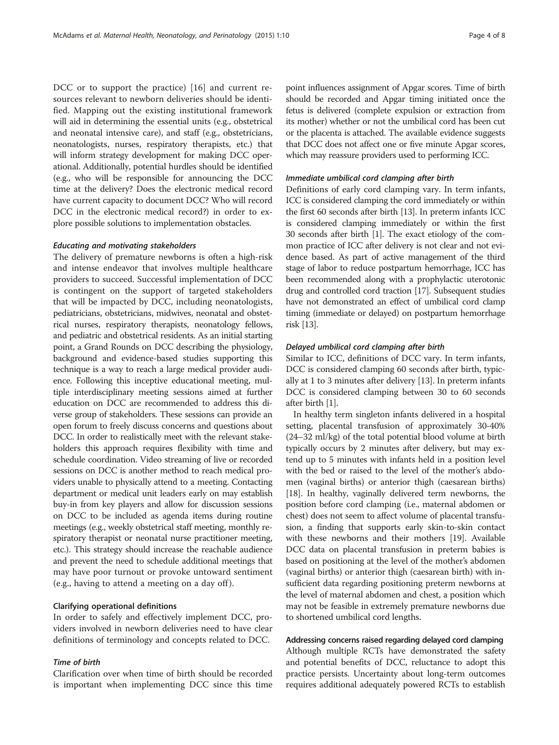DCC or to support the practice) [\[16](#page-7-0)] and current resources relevant to newborn deliveries should be identified. Mapping out the existing institutional framework will aid in determining the essential units (e.g., obstetrical and neonatal intensive care), and staff (e.g., obstetricians, neonatologists, nurses, respiratory therapists, etc.) that will inform strategy development for making DCC operational. Additionally, potential hurdles should be identified (e.g., who will be responsible for announcing the DCC time at the delivery? Does the electronic medical record have current capacity to document DCC? Who will record DCC in the electronic medical record?) in order to explore possible solutions to implementation obstacles.

# Educating and motivating stakeholders

The delivery of premature newborns is often a high-risk and intense endeavor that involves multiple healthcare providers to succeed. Successful implementation of DCC is contingent on the support of targeted stakeholders that will be impacted by DCC, including neonatologists, pediatricians, obstetricians, midwives, neonatal and obstetrical nurses, respiratory therapists, neonatology fellows, and pediatric and obstetrical residents. As an initial starting point, a Grand Rounds on DCC describing the physiology, background and evidence-based studies supporting this technique is a way to reach a large medical provider audience. Following this inceptive educational meeting, multiple interdisciplinary meeting sessions aimed at further education on DCC are recommended to address this diverse group of stakeholders. These sessions can provide an open forum to freely discuss concerns and questions about DCC. In order to realistically meet with the relevant stakeholders this approach requires flexibility with time and schedule coordination. Video streaming of live or recorded sessions on DCC is another method to reach medical providers unable to physically attend to a meeting. Contacting department or medical unit leaders early on may establish buy-in from key players and allow for discussion sessions on DCC to be included as agenda items during routine meetings (e.g., weekly obstetrical staff meeting, monthly respiratory therapist or neonatal nurse practitioner meeting, etc.). This strategy should increase the reachable audience and prevent the need to schedule additional meetings that may have poor turnout or provoke untoward sentiment (e.g., having to attend a meeting on a day off ).

# Clarifying operational definitions

In order to safely and effectively implement DCC, providers involved in newborn deliveries need to have clear definitions of terminology and concepts related to DCC.

# Time of birth

Clarification over when time of birth should be recorded is important when implementing DCC since this time

point influences assignment of Apgar scores. Time of birth should be recorded and Apgar timing initiated once the fetus is delivered (complete expulsion or extraction from its mother) whether or not the umbilical cord has been cut or the placenta is attached. The available evidence suggests that DCC does not affect one or five minute Apgar scores, which may reassure providers used to performing ICC.

### Immediate umbilical cord clamping after birth

Definitions of early cord clamping vary. In term infants, ICC is considered clamping the cord immediately or within the first 60 seconds after birth [\[13](#page-7-0)]. In preterm infants ICC is considered clamping immediately or within the first 30 seconds after birth [[1](#page-7-0)]. The exact etiology of the common practice of ICC after delivery is not clear and not evidence based. As part of active management of the third stage of labor to reduce postpartum hemorrhage, ICC has been recommended along with a prophylactic uterotonic drug and controlled cord traction [[17](#page-7-0)]. Subsequent studies have not demonstrated an effect of umbilical cord clamp timing (immediate or delayed) on postpartum hemorrhage risk [[13](#page-7-0)].

# Delayed umbilical cord clamping after birth

Similar to ICC, definitions of DCC vary. In term infants, DCC is considered clamping 60 seconds after birth, typically at 1 to 3 minutes after delivery [\[13\]](#page-7-0). In preterm infants DCC is considered clamping between 30 to 60 seconds after birth [[1](#page-7-0)].

In healthy term singleton infants delivered in a hospital setting, placental transfusion of approximately 30-40% (24–32 ml/kg) of the total potential blood volume at birth typically occurs by 2 minutes after delivery, but may extend up to 5 minutes with infants held in a position level with the bed or raised to the level of the mother's abdomen (vaginal births) or anterior thigh (caesarean births) [[18](#page-7-0)]. In healthy, vaginally delivered term newborns, the position before cord clamping (i.e., maternal abdomen or chest) does not seem to affect volume of placental transfusion, a finding that supports early skin-to-skin contact with these newborns and their mothers [\[19\]](#page-7-0). Available DCC data on placental transfusion in preterm babies is based on positioning at the level of the mother's abdomen (vaginal births) or anterior thigh (caesarean birth) with insufficient data regarding positioning preterm newborns at the level of maternal abdomen and chest, a position which may not be feasible in extremely premature newborns due to shortened umbilical cord lengths.

# Addressing concerns raised regarding delayed cord clamping

Although multiple RCTs have demonstrated the safety and potential benefits of DCC, reluctance to adopt this practice persists. Uncertainty about long-term outcomes requires additional adequately powered RCTs to establish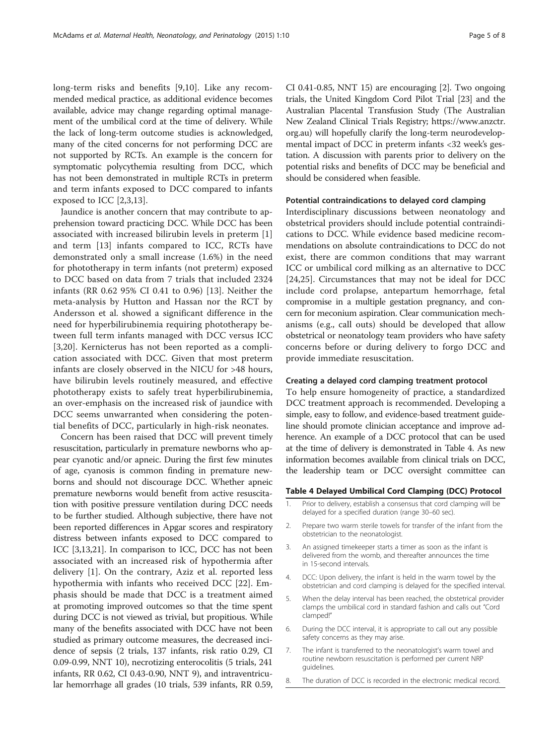long-term risks and benefits [[9,10](#page-7-0)]. Like any recommended medical practice, as additional evidence becomes available, advice may change regarding optimal management of the umbilical cord at the time of delivery. While the lack of long-term outcome studies is acknowledged, many of the cited concerns for not performing DCC are not supported by RCTs. An example is the concern for symptomatic polycythemia resulting from DCC, which has not been demonstrated in multiple RCTs in preterm and term infants exposed to DCC compared to infants exposed to ICC [[2,3,13](#page-7-0)].

Jaundice is another concern that may contribute to apprehension toward practicing DCC. While DCC has been associated with increased bilirubin levels in preterm [\[1](#page-7-0)] and term [[13\]](#page-7-0) infants compared to ICC, RCTs have demonstrated only a small increase (1.6%) in the need for phototherapy in term infants (not preterm) exposed to DCC based on data from 7 trials that included 2324 infants (RR 0.62 95% CI 0.41 to 0.96) [\[13](#page-7-0)]. Neither the meta-analysis by Hutton and Hassan nor the RCT by Andersson et al. showed a significant difference in the need for hyperbilirubinemia requiring phototherapy between full term infants managed with DCC versus ICC [[3,20](#page-7-0)]. Kernicterus has not been reported as a complication associated with DCC. Given that most preterm infants are closely observed in the NICU for >48 hours, have bilirubin levels routinely measured, and effective phototherapy exists to safely treat hyperbilirubinemia, an over-emphasis on the increased risk of jaundice with DCC seems unwarranted when considering the potential benefits of DCC, particularly in high-risk neonates.

Concern has been raised that DCC will prevent timely resuscitation, particularly in premature newborns who appear cyanotic and/or apneic. During the first few minutes of age, cyanosis is common finding in premature newborns and should not discourage DCC. Whether apneic premature newborns would benefit from active resuscitation with positive pressure ventilation during DCC needs to be further studied. Although subjective, there have not been reported differences in Apgar scores and respiratory distress between infants exposed to DCC compared to ICC [[3,13,21\]](#page-7-0). In comparison to ICC, DCC has not been associated with an increased risk of hypothermia after delivery [[1\]](#page-7-0). On the contrary, Aziz et al. reported less hypothermia with infants who received DCC [[22\]](#page-7-0). Emphasis should be made that DCC is a treatment aimed at promoting improved outcomes so that the time spent during DCC is not viewed as trivial, but propitious. While many of the benefits associated with DCC have not been studied as primary outcome measures, the decreased incidence of sepsis (2 trials, 137 infants, risk ratio 0.29, CI 0.09-0.99, NNT 10), necrotizing enterocolitis (5 trials, 241 infants, RR 0.62, CI 0.43-0.90, NNT 9), and intraventricular hemorrhage all grades (10 trials, 539 infants, RR 0.59, CI 0.41-0.85, NNT 15) are encouraging [\[2](#page-7-0)]. Two ongoing trials, the United Kingdom Cord Pilot Trial [[23\]](#page-7-0) and the Australian Placental Transfusion Study (The Australian New Zealand Clinical Trials Registry; [https://www.anzctr.](https://www.anzctr.org.au) [org.au\)](https://www.anzctr.org.au) will hopefully clarify the long-term neurodevelopmental impact of DCC in preterm infants <32 week's gestation. A discussion with parents prior to delivery on the potential risks and benefits of DCC may be beneficial and should be considered when feasible.

# Potential contraindications to delayed cord clamping

Interdisciplinary discussions between neonatology and obstetrical providers should include potential contraindications to DCC. While evidence based medicine recommendations on absolute contraindications to DCC do not exist, there are common conditions that may warrant ICC or umbilical cord milking as an alternative to DCC [[24,25](#page-7-0)]. Circumstances that may not be ideal for DCC include cord prolapse, antepartum hemorrhage, fetal compromise in a multiple gestation pregnancy, and concern for meconium aspiration. Clear communication mechanisms (e.g., call outs) should be developed that allow obstetrical or neonatology team providers who have safety concerns before or during delivery to forgo DCC and provide immediate resuscitation.

# Creating a delayed cord clamping treatment protocol

To help ensure homogeneity of practice, a standardized DCC treatment approach is recommended. Developing a simple, easy to follow, and evidence-based treatment guideline should promote clinician acceptance and improve adherence. An example of a DCC protocol that can be used at the time of delivery is demonstrated in Table 4. As new information becomes available from clinical trials on DCC, the leadership team or DCC oversight committee can

### Table 4 Delayed Umbilical Cord Clamping (DCC) Protocol

- 1. Prior to delivery, establish a consensus that cord clamping will be delayed for a specified duration (range 30–60 sec).
- 2. Prepare two warm sterile towels for transfer of the infant from the obstetrician to the neonatologist.
- 3. An assigned timekeeper starts a timer as soon as the infant is delivered from the womb, and thereafter announces the time in 15-second intervals.
- 4. DCC: Upon delivery, the infant is held in the warm towel by the obstetrician and cord clamping is delayed for the specified interval.
- 5. When the delay interval has been reached, the obstetrical provider clamps the umbilical cord in standard fashion and calls out "Cord clamped!"
- 6. During the DCC interval, it is appropriate to call out any possible safety concerns as they may arise.
- 7. The infant is transferred to the neonatologist's warm towel and routine newborn resuscitation is performed per current NRP guidelines.
- 8. The duration of DCC is recorded in the electronic medical record.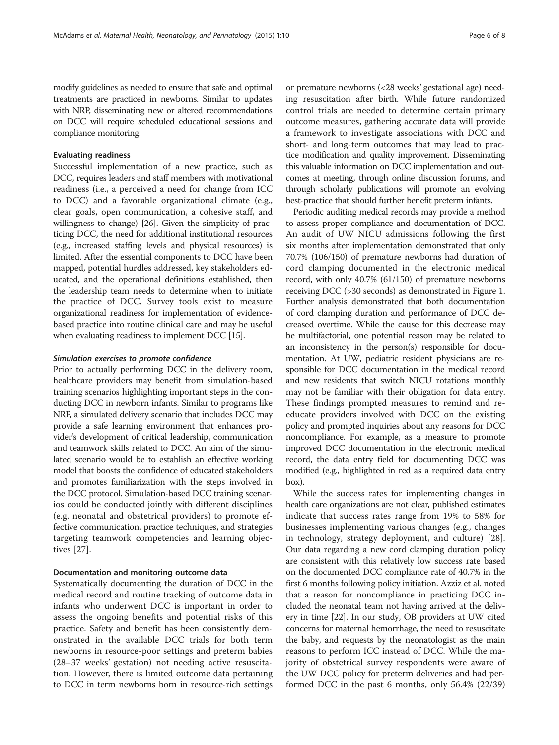modify guidelines as needed to ensure that safe and optimal treatments are practiced in newborns. Similar to updates with NRP, disseminating new or altered recommendations on DCC will require scheduled educational sessions and compliance monitoring.

# Evaluating readiness

Successful implementation of a new practice, such as DCC, requires leaders and staff members with motivational readiness (i.e., a perceived a need for change from ICC to DCC) and a favorable organizational climate (e.g., clear goals, open communication, a cohesive staff, and willingness to change) [[26](#page-7-0)]. Given the simplicity of practicing DCC, the need for additional institutional resources (e.g., increased staffing levels and physical resources) is limited. After the essential components to DCC have been mapped, potential hurdles addressed, key stakeholders educated, and the operational definitions established, then the leadership team needs to determine when to initiate the practice of DCC. Survey tools exist to measure organizational readiness for implementation of evidencebased practice into routine clinical care and may be useful when evaluating readiness to implement DCC [\[15](#page-7-0)].

# Simulation exercises to promote confidence

Prior to actually performing DCC in the delivery room, healthcare providers may benefit from simulation-based training scenarios highlighting important steps in the conducting DCC in newborn infants. Similar to programs like NRP, a simulated delivery scenario that includes DCC may provide a safe learning environment that enhances provider's development of critical leadership, communication and teamwork skills related to DCC. An aim of the simulated scenario would be to establish an effective working model that boosts the confidence of educated stakeholders and promotes familiarization with the steps involved in the DCC protocol. Simulation-based DCC training scenarios could be conducted jointly with different disciplines (e.g. neonatal and obstetrical providers) to promote effective communication, practice techniques, and strategies targeting teamwork competencies and learning objectives [[27\]](#page-7-0).

# Documentation and monitoring outcome data

Systematically documenting the duration of DCC in the medical record and routine tracking of outcome data in infants who underwent DCC is important in order to assess the ongoing benefits and potential risks of this practice. Safety and benefit has been consistently demonstrated in the available DCC trials for both term newborns in resource-poor settings and preterm babies (28–37 weeks' gestation) not needing active resuscitation. However, there is limited outcome data pertaining to DCC in term newborns born in resource-rich settings

or premature newborns (<28 weeks' gestational age) needing resuscitation after birth. While future randomized control trials are needed to determine certain primary outcome measures, gathering accurate data will provide a framework to investigate associations with DCC and short- and long-term outcomes that may lead to practice modification and quality improvement. Disseminating this valuable information on DCC implementation and outcomes at meeting, through online discussion forums, and through scholarly publications will promote an evolving best-practice that should further benefit preterm infants.

Periodic auditing medical records may provide a method to assess proper compliance and documentation of DCC. An audit of UW NICU admissions following the first six months after implementation demonstrated that only 70.7% (106/150) of premature newborns had duration of cord clamping documented in the electronic medical record, with only 40.7% (61/150) of premature newborns receiving DCC (>30 seconds) as demonstrated in Figure [1](#page-6-0). Further analysis demonstrated that both documentation of cord clamping duration and performance of DCC decreased overtime. While the cause for this decrease may be multifactorial, one potential reason may be related to an inconsistency in the person(s) responsible for documentation. At UW, pediatric resident physicians are responsible for DCC documentation in the medical record and new residents that switch NICU rotations monthly may not be familiar with their obligation for data entry. These findings prompted measures to remind and reeducate providers involved with DCC on the existing policy and prompted inquiries about any reasons for DCC noncompliance. For example, as a measure to promote improved DCC documentation in the electronic medical record, the data entry field for documenting DCC was modified (e.g., highlighted in red as a required data entry box).

While the success rates for implementing changes in health care organizations are not clear, published estimates indicate that success rates range from 19% to 58% for businesses implementing various changes (e.g., changes in technology, strategy deployment, and culture) [\[28](#page-7-0)]. Our data regarding a new cord clamping duration policy are consistent with this relatively low success rate based on the documented DCC compliance rate of 40.7% in the first 6 months following policy initiation. Azziz et al. noted that a reason for noncompliance in practicing DCC included the neonatal team not having arrived at the delivery in time [\[22\]](#page-7-0). In our study, OB providers at UW cited concerns for maternal hemorrhage, the need to resuscitate the baby, and requests by the neonatologist as the main reasons to perform ICC instead of DCC. While the majority of obstetrical survey respondents were aware of the UW DCC policy for preterm deliveries and had performed DCC in the past 6 months, only 56.4% (22/39)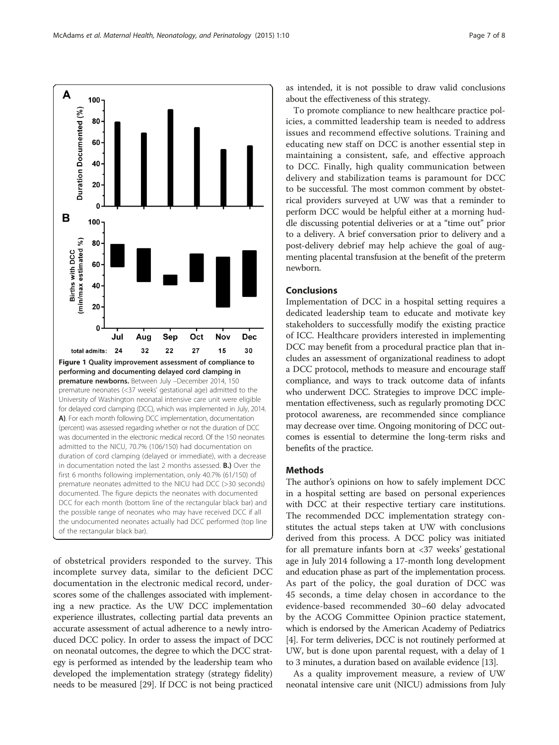Figure 1 Quality improvement assessment of compliance to performing and documenting delayed cord clamping in premature newborns. Between July –December 2014, 150 University of Washington neonatal intensive care unit were eligible for delayed cord clamping (DCC), which was implemented in July, 2014. (percent) was assessed regarding whether or not the duration of DCC was documented in the electronic medical record. Of the 150 neonates admitted to the NICU, 70.7% (106/150) had documentation on duration of cord clamping (delayed or immediate), with a decrease in documentation noted the last 2 months assessed. B.) Over the first 6 months following implementation, only 40.7% (61/150) of premature neonates admitted to the NICU had DCC (>30 seconds) documented. The figure depicts the neonates with documented DCC for each month (bottom line of the rectangular black bar) and the possible range of neonates who may have received DCC if all the undocumented neonates actually had DCC performed (top line of the rectangular black bar).

of obstetrical providers responded to the survey. This incomplete survey data, similar to the deficient DCC documentation in the electronic medical record, underscores some of the challenges associated with implementing a new practice. As the UW DCC implementation experience illustrates, collecting partial data prevents an accurate assessment of actual adherence to a newly introduced DCC policy. In order to assess the impact of DCC on neonatal outcomes, the degree to which the DCC strategy is performed as intended by the leadership team who developed the implementation strategy (strategy fidelity) needs to be measured [[29](#page-7-0)]. If DCC is not being practiced

as intended, it is not possible to draw valid conclusions about the effectiveness of this strategy.

To promote compliance to new healthcare practice policies, a committed leadership team is needed to address issues and recommend effective solutions. Training and educating new staff on DCC is another essential step in maintaining a consistent, safe, and effective approach to DCC. Finally, high quality communication between delivery and stabilization teams is paramount for DCC to be successful. The most common comment by obstetrical providers surveyed at UW was that a reminder to perform DCC would be helpful either at a morning huddle discussing potential deliveries or at a "time out" prior to a delivery. A brief conversation prior to delivery and a post-delivery debrief may help achieve the goal of augmenting placental transfusion at the benefit of the preterm newborn.

# Conclusions

Implementation of DCC in a hospital setting requires a dedicated leadership team to educate and motivate key stakeholders to successfully modify the existing practice of ICC. Healthcare providers interested in implementing DCC may benefit from a procedural practice plan that includes an assessment of organizational readiness to adopt a DCC protocol, methods to measure and encourage staff compliance, and ways to track outcome data of infants who underwent DCC. Strategies to improve DCC implementation effectiveness, such as regularly promoting DCC protocol awareness, are recommended since compliance may decrease over time. Ongoing monitoring of DCC outcomes is essential to determine the long-term risks and benefits of the practice.

# Methods

The author's opinions on how to safely implement DCC in a hospital setting are based on personal experiences with DCC at their respective tertiary care institutions. The recommended DCC implementation strategy constitutes the actual steps taken at UW with conclusions derived from this process. A DCC policy was initiated for all premature infants born at <37 weeks' gestational age in July 2014 following a 17-month long development and education phase as part of the implementation process. As part of the policy, the goal duration of DCC was 45 seconds, a time delay chosen in accordance to the evidence-based recommended 30–60 delay advocated by the ACOG Committee Opinion practice statement, which is endorsed by the American Academy of Pediatrics [[4](#page-7-0)]. For term deliveries, DCC is not routinely performed at UW, but is done upon parental request, with a delay of 1 to 3 minutes, a duration based on available evidence [\[13\]](#page-7-0).

As a quality improvement measure, a review of UW neonatal intensive care unit (NICU) admissions from July

<span id="page-6-0"></span>